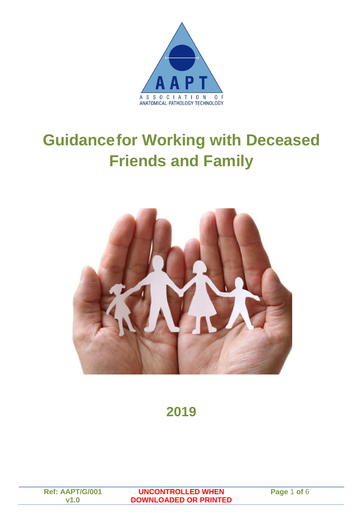

# **Guidancefor Working with Deceased Friends and Family**



**2019**

**Ref: AAPT/G/001 v1.0**

**UNCONTROLLED WHEN DOWNLOADED OR PRINTED** **Page** 1 **of** 6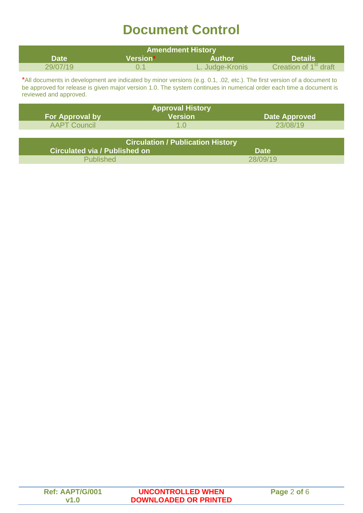## **Document Control**

| <b>Amendment History</b> |          |                 |                                   |
|--------------------------|----------|-----------------|-----------------------------------|
| <b>Date</b>              | Version* | Author          | <b>Details</b>                    |
| 29/07/19                 |          | L. Judge-Kronis | Creation of 1 <sup>st</sup> draft |

\*All documents in development are indicated by minor versions (e.g. 0.1, .02, etc.). The first version of a document to be approved for release is given major version 1.0. The system continues in numerical order each time a document is reviewed and approved.

|                        | <b>Approval History</b>                  |                      |
|------------------------|------------------------------------------|----------------------|
| <b>For Approval by</b> | <b>Version</b>                           | <b>Date Approved</b> |
| <b>AAPT Council</b>    | 1 በ                                      | 23/08/19             |
|                        |                                          |                      |
|                        | <b>Circulation / Publication History</b> |                      |

| <b>UIICURTION / PUBIICANON FISTOLY</b> |             |  |  |
|----------------------------------------|-------------|--|--|
| Circulated via / Published on          | <b>Date</b> |  |  |
| <b>Published</b>                       | 28/09/19    |  |  |
|                                        |             |  |  |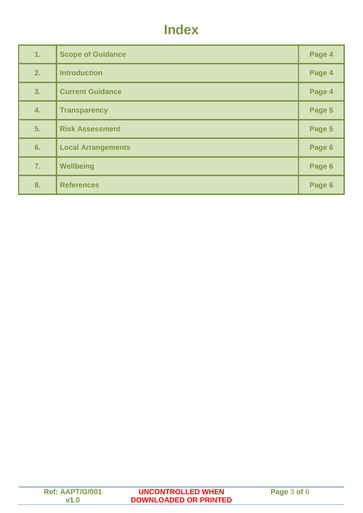#### **Index**

| 1. | <b>Scope of Guidance</b>  | Page 4 |
|----|---------------------------|--------|
| 2. | <b>Introduction</b>       | Page 4 |
| 3. | <b>Current Guidance</b>   | Page 4 |
| 4. | <b>Transparency</b>       | Page 5 |
| 5. | <b>Risk Assessment</b>    | Page 5 |
| 6. | <b>Local Arrangements</b> | Page 6 |
| 7. | Wellbeing                 | Page 6 |
| 8. | <b>References</b>         | Page 6 |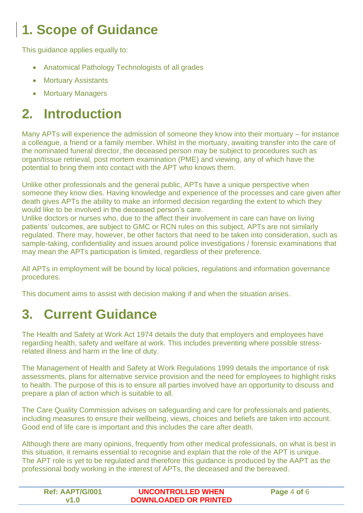# **1. Scope of Guidance**

This guidance applies equally to:

- Anatomical Pathology Technologists of all grades
- Mortuary Assistants
- Mortuary Managers

## **2. Introduction**

Many APTs will experience the admission of someone they know into their mortuary – for instance a colleague, a friend or a family member. Whilst in the mortuary, awaiting transfer into the care of the nominated funeral director, the deceased person may be subject to procedures such as organ/tissue retrieval, post mortem examination (PME) and viewing, any of which have the potential to bring them into contact with the APT who knows them.

Unlike other professionals and the general public, APTs have a unique perspective when someone they know dies. Having knowledge and experience of the processes and care given after death gives APTs the ability to make an informed decision regarding the extent to which they would like to be involved in the deceased person's care.

Unlike doctors or nurses who, due to the affect their involvement in care can have on living patients' outcomes, are subject to GMC or RCN rules on this subject, APTs are not similarly regulated. There may, however, be other factors that need to be taken into consideration, such as sample-taking, confidentiality and issues around police investigations / forensic examinations that may mean the APTs participation is limited, regardless of their preference.

All APTs in employment will be bound by local policies, regulations and information governance procedures.

This document aims to assist with decision making if and when the situation arises.

#### **3. Current Guidance**

The Health and Safety at Work Act 1974 details the duty that employers and employees have regarding health, safety and welfare at work. This includes preventing where possible stressrelated illness and harm in the line of duty.

The Management of Health and Safety at Work Regulations 1999 details the importance of risk assessments, plans for alternative service provision and the need for employees to highlight risks to health. The purpose of this is to ensure all parties involved have an opportunity to discuss and prepare a plan of action which is suitable to all.

The Care Quality Commission advises on safeguarding and care for professionals and patients, including measures to ensure their wellbeing, views, choices and beliefs are taken into account. Good end of life care is important and this includes the care after death.

Although there are many opinions, frequently from other medical professionals, on what is best in this situation, it remains essential to recognise and explain that the role of the APT is unique. The APT role is yet to be regulated and therefore this guidance is produced by the AAPT as the professional body working in the interest of APTs, the deceased and the bereaved.

| <b>Ref: AAPT/G/001</b> | <b>UNCONTROLLED WHEN</b>     | Page 4 of 6 |
|------------------------|------------------------------|-------------|
| V1.P                   | <b>DOWNLOADED OR PRINTED</b> |             |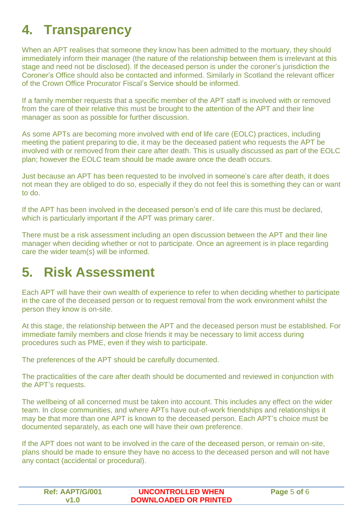## **4. Transparency**

When an APT realises that someone they know has been admitted to the mortuary, they should immediately inform their manager (the nature of the relationship between them is irrelevant at this stage and need not be disclosed). If the deceased person is under the coroner's jurisdiction the Coroner's Office should also be contacted and informed. Similarly in Scotland the relevant officer of the Crown Office Procurator Fiscal's Service should be informed.

If a family member requests that a specific member of the APT staff is involved with or removed from the care of their relative this must be brought to the attention of the APT and their line manager as soon as possible for further discussion.

As some APTs are becoming more involved with end of life care (EOLC) practices, including meeting the patient preparing to die, it may be the deceased patient who requests the APT be involved with or removed from their care after death. This is usually discussed as part of the EOLC plan; however the EOLC team should be made aware once the death occurs.

Just because an APT has been requested to be involved in someone's care after death, it does not mean they are obliged to do so, especially if they do not feel this is something they can or want to do.

If the APT has been involved in the deceased person's end of life care this must be declared, which is particularly important if the APT was primary carer.

There must be a risk assessment including an open discussion between the APT and their line manager when deciding whether or not to participate. Once an agreement is in place regarding care the wider team(s) will be informed.

#### **5. Risk Assessment**

Each APT will have their own wealth of experience to refer to when deciding whether to participate in the care of the deceased person or to request removal from the work environment whilst the person they know is on-site.

At this stage, the relationship between the APT and the deceased person must be established. For immediate family members and close friends it may be necessary to limit access during procedures such as PME, even if they wish to participate.

The preferences of the APT should be carefully documented.

The practicalities of the care after death should be documented and reviewed in conjunction with the APT's requests.

The wellbeing of all concerned must be taken into account. This includes any effect on the wider team. In close communities, and where APTs have out-of-work friendships and relationships it may be that more than one APT is known to the deceased person. Each APT's choice must be documented separately, as each one will have their own preference.

If the APT does not want to be involved in the care of the deceased person, or remain on-site, plans should be made to ensure they have no access to the deceased person and will not have any contact (accidental or procedural).

| <b>Ref: AAPT/G/001</b> | <b>UNCONTROLLED WHEN</b>     | Page 5 of 6 |
|------------------------|------------------------------|-------------|
| $v1$ $\Omega$          | <b>DOWNLOADED OR PRINTED</b> |             |